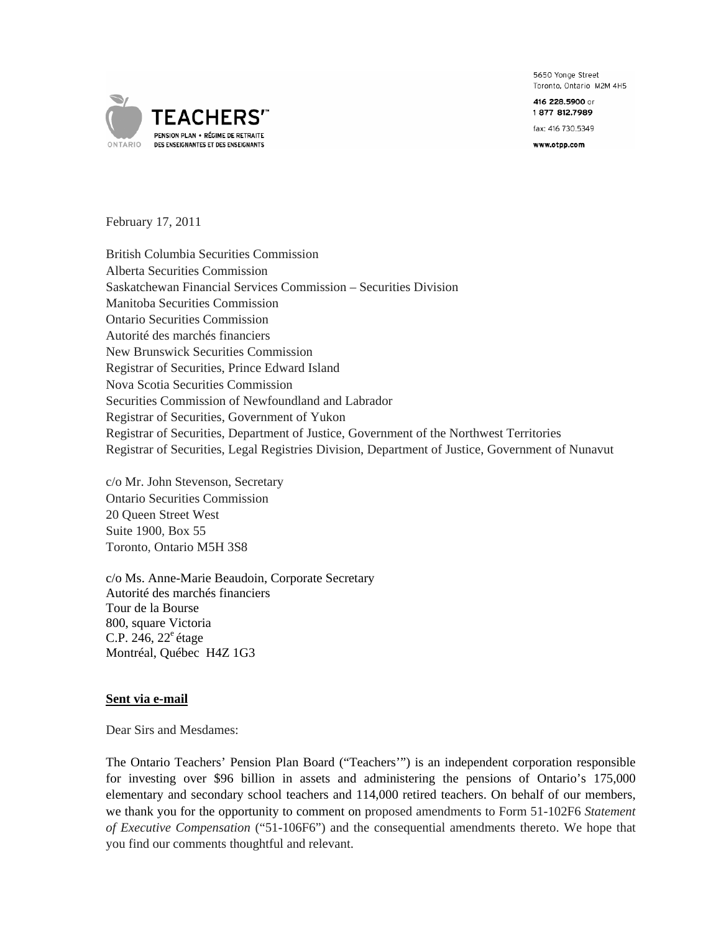5650 Yonge Street Toronto, Ontario M2M 4H5

416 228,5900 or 1877 812.7989

fax: 416 730.5349

www.otpp.com



February 17, 2011

British Columbia Securities Commission Alberta Securities Commission Saskatchewan Financial Services Commission – Securities Division Manitoba Securities Commission Ontario Securities Commission Autorité des marchés financiers New Brunswick Securities Commission Registrar of Securities, Prince Edward Island Nova Scotia Securities Commission Securities Commission of Newfoundland and Labrador Registrar of Securities, Government of Yukon Registrar of Securities, Department of Justice, Government of the Northwest Territories Registrar of Securities, Legal Registries Division, Department of Justice, Government of Nunavut

c/o Mr. John Stevenson, Secretary Ontario Securities Commission 20 Queen Street West Suite 1900, Box 55 Toronto, Ontario M5H 3S8

c/o Ms. Anne-Marie Beaudoin, Corporate Secretary Autorité des marchés financiers Tour de la Bourse 800, square Victoria C.P. 246,  $22^e$  étage Montréal, Québec H4Z 1G3

#### **Sent via e-mail**

Dear Sirs and Mesdames:

The Ontario Teachers' Pension Plan Board ("Teachers'") is an independent corporation responsible for investing over \$96 billion in assets and administering the pensions of Ontario's 175,000 elementary and secondary school teachers and 114,000 retired teachers. On behalf of our members, we thank you for the opportunity to comment on proposed amendments to Form 51-102F6 *Statement of Executive Compensation* ("51-106F6") and the consequential amendments thereto. We hope that you find our comments thoughtful and relevant.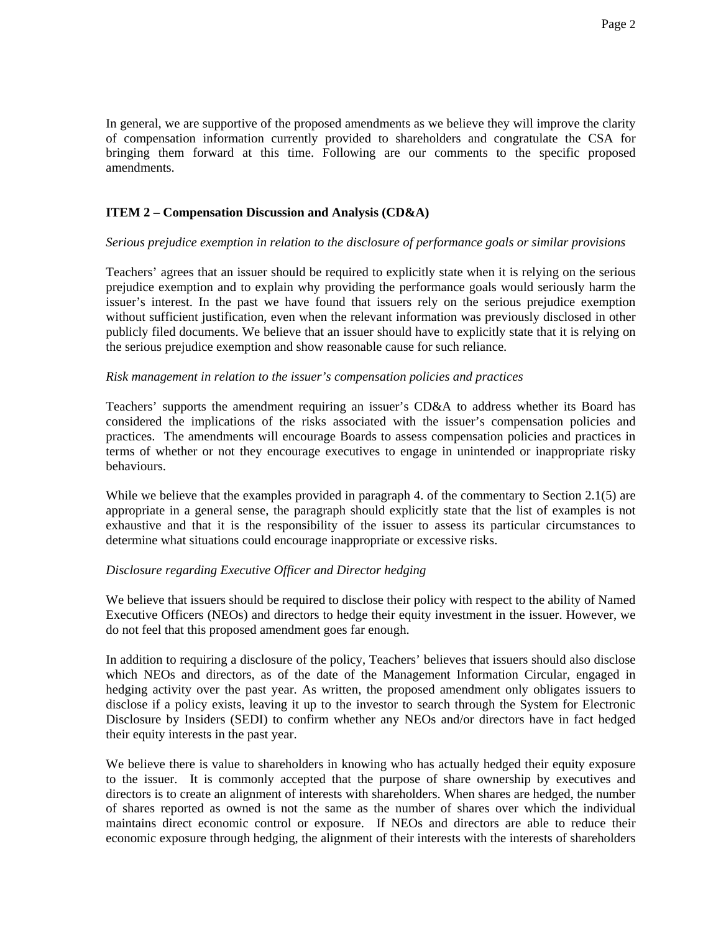In general, we are supportive of the proposed amendments as we believe they will improve the clarity of compensation information currently provided to shareholders and congratulate the CSA for bringing them forward at this time. Following are our comments to the specific proposed amendments.

# **ITEM 2 – Compensation Discussion and Analysis (CD&A)**

# *Serious prejudice exemption in relation to the disclosure of performance goals or similar provisions*

Teachers' agrees that an issuer should be required to explicitly state when it is relying on the serious prejudice exemption and to explain why providing the performance goals would seriously harm the issuer's interest. In the past we have found that issuers rely on the serious prejudice exemption without sufficient justification, even when the relevant information was previously disclosed in other publicly filed documents. We believe that an issuer should have to explicitly state that it is relying on the serious prejudice exemption and show reasonable cause for such reliance.

# *Risk management in relation to the issuer's compensation policies and practices*

Teachers' supports the amendment requiring an issuer's CD&A to address whether its Board has considered the implications of the risks associated with the issuer's compensation policies and practices. The amendments will encourage Boards to assess compensation policies and practices in terms of whether or not they encourage executives to engage in unintended or inappropriate risky behaviours.

While we believe that the examples provided in paragraph 4. of the commentary to Section 2.1(5) are appropriate in a general sense, the paragraph should explicitly state that the list of examples is not exhaustive and that it is the responsibility of the issuer to assess its particular circumstances to determine what situations could encourage inappropriate or excessive risks.

# *Disclosure regarding Executive Officer and Director hedging*

We believe that issuers should be required to disclose their policy with respect to the ability of Named Executive Officers (NEOs) and directors to hedge their equity investment in the issuer. However, we do not feel that this proposed amendment goes far enough.

In addition to requiring a disclosure of the policy, Teachers' believes that issuers should also disclose which NEOs and directors, as of the date of the Management Information Circular, engaged in hedging activity over the past year. As written, the proposed amendment only obligates issuers to disclose if a policy exists, leaving it up to the investor to search through the System for Electronic Disclosure by Insiders (SEDI) to confirm whether any NEOs and/or directors have in fact hedged their equity interests in the past year.

We believe there is value to shareholders in knowing who has actually hedged their equity exposure to the issuer. It is commonly accepted that the purpose of share ownership by executives and directors is to create an alignment of interests with shareholders. When shares are hedged, the number of shares reported as owned is not the same as the number of shares over which the individual maintains direct economic control or exposure. If NEOs and directors are able to reduce their economic exposure through hedging, the alignment of their interests with the interests of shareholders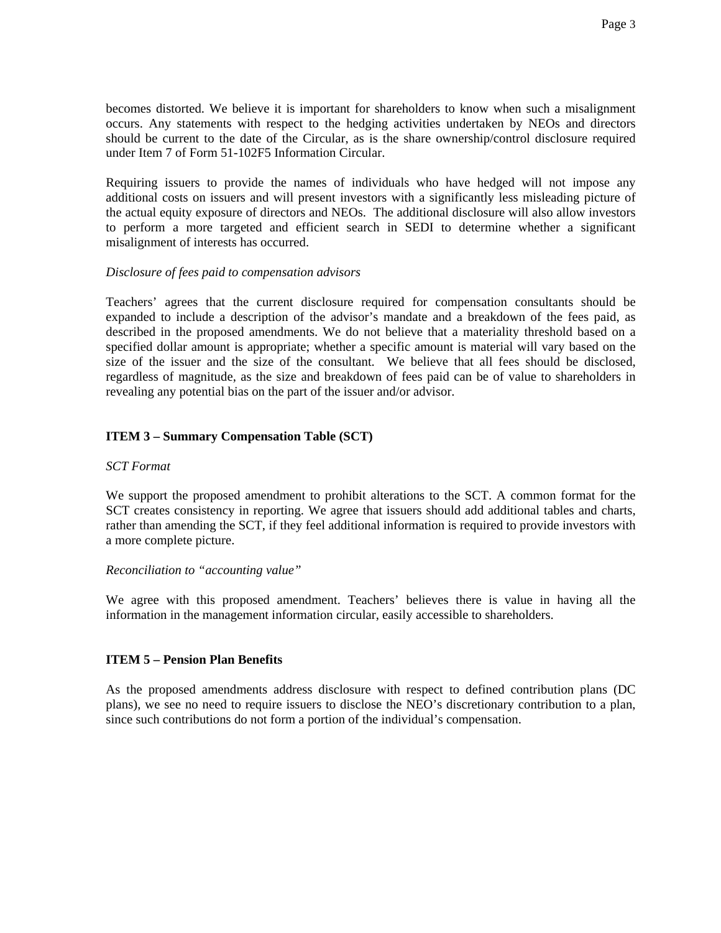becomes distorted. We believe it is important for shareholders to know when such a misalignment occurs. Any statements with respect to the hedging activities undertaken by NEOs and directors should be current to the date of the Circular, as is the share ownership/control disclosure required under Item 7 of Form 51-102F5 Information Circular.

Requiring issuers to provide the names of individuals who have hedged will not impose any additional costs on issuers and will present investors with a significantly less misleading picture of the actual equity exposure of directors and NEOs. The additional disclosure will also allow investors to perform a more targeted and efficient search in SEDI to determine whether a significant misalignment of interests has occurred.

# *Disclosure of fees paid to compensation advisors*

Teachers' agrees that the current disclosure required for compensation consultants should be expanded to include a description of the advisor's mandate and a breakdown of the fees paid, as described in the proposed amendments. We do not believe that a materiality threshold based on a specified dollar amount is appropriate; whether a specific amount is material will vary based on the size of the issuer and the size of the consultant. We believe that all fees should be disclosed, regardless of magnitude, as the size and breakdown of fees paid can be of value to shareholders in revealing any potential bias on the part of the issuer and/or advisor.

# **ITEM 3 – Summary Compensation Table (SCT)**

#### *SCT Format*

We support the proposed amendment to prohibit alterations to the SCT. A common format for the SCT creates consistency in reporting. We agree that issuers should add additional tables and charts, rather than amending the SCT, if they feel additional information is required to provide investors with a more complete picture.

### *Reconciliation to "accounting value"*

We agree with this proposed amendment. Teachers' believes there is value in having all the information in the management information circular, easily accessible to shareholders.

## **ITEM 5 – Pension Plan Benefits**

As the proposed amendments address disclosure with respect to defined contribution plans (DC plans), we see no need to require issuers to disclose the NEO's discretionary contribution to a plan, since such contributions do not form a portion of the individual's compensation.